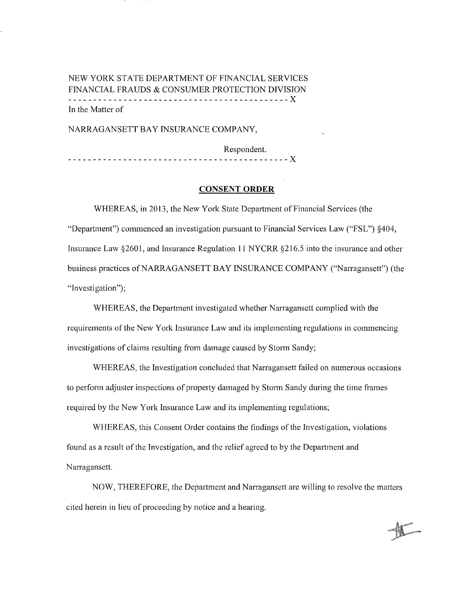# NEW YORK STATE DEPARTMENT OF FINANCIAL SERVICES FINANCIAL FRAUDS & CONSUMER PROTECTION DIVISION --------------------------------------------X In the Matter of

NARRAGANSETT BAY INSURANCE COMPANY,

Respondent. --------------------------------------------X

## **CONSENT ORDER**

WHEREAS, in 2013, the New York State Department of Financial Services (the "Department") commenced an investigation pursuant to Financial Services Law ("FSL") §404, Insurance Law §2601, and Insurance Regulation 11 NYCRR §216.5 into the insurance and other business practices of NARRAGANSETT BAY INSURANCE COMPANY ("Narragansett") (the "Investigation");

WHEREAS, the Department investigated whether Narragansett complied with the requirements of the New York Insurance Law and its implementing regulations in commencing investigations of claims resulting from damage caused by Storm Sandy;

WHEREAS, the Investigation concluded that Narragansett failed on numerous occasions to perform adjuster inspections of property damaged by Storm Sandy during the time frames required by the New York Insurance Law and its implementing regulations;

WHEREAS, this Consent Order contains the findings of the Investigation, violations found as a result of the Investigation, and the relief agreed to by the Department and Narragansett.

NOW, THEREFORE, the Department and Narragansett are willing to resolve the matters cited herein in lieu of proceeding by notice and a hearing.

alikuwa m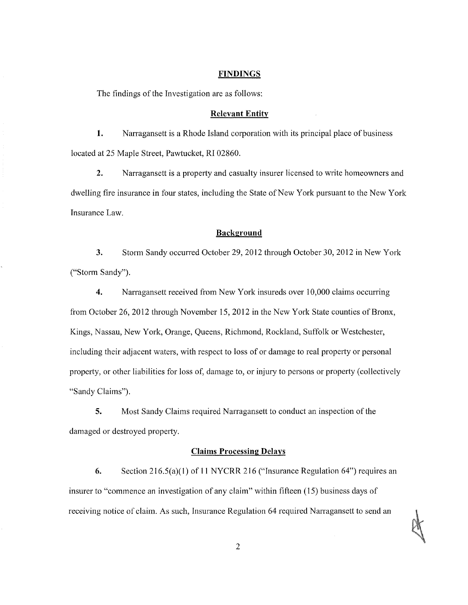#### **FINDINGS**

The findings of the Investigation are as follows:

### **Relevant Entity**

**1.** Nanagansett is a Rhode Island corporation with its principal place of business located at 25 Maple Street, Pawtucket, RI 02860.

2. Narragansett is a property and casualty insurer licensed to write homeowners and dwelling fire insurance in four states, including the State of New York pursuant to the New York Insurance Law.

#### **Background**

3. Storm Sandy occurred October 29, 2012 through October 30, 2012 in New York ("Storm Sandy").

**4.** Nanagansett received from New York insureds over 10,000 claims occurring from October 26, 2012 through November 15, 2012 in the New York State counties of Bronx, Kings, Nassau, New York, Orange, Queens, Richmond, Rockland, Suffolk or Westchester, including their adjacent waters, with respect to loss of or damage to real property or personal property, or other liabilities for loss of, damage to, or injury to persons or property (collectively "Sandy Claims").

**5.** Most Sandy Claims required Narragansett to conduct an inspection of the damaged or destroyed property.

## **Claims Processing Delays**

**6.** Section 216.5(a)(l) of II NYCRR 216 ("Insurance Regulation 64") requires an insurer to "commence an investigation of any claim" within fifteen (15) business days of receiving notice of claim. As such, Insurance Regulation 64 required Narragansett to send an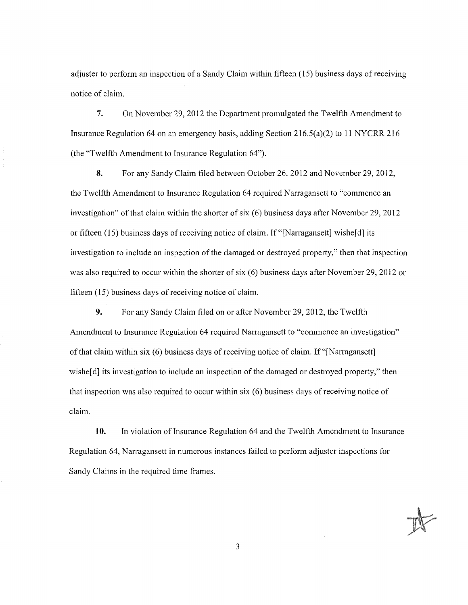adjuster to perform an inspection of a Sandy Claim within fifteen ( 15) business days of receiving notice of claim.

7. On November 29, 2012 the Department promulgated the Twelfth Amendment to Insurance Regulation 64 on an emergency basis, adding Section 216.5(a)(2) to 11 NYCRR 216 (the "Twelfth Amendment to Insurance Regulation 64").

8. For any Sandy Claim filed between October 26, 2012 and November 29, 2012, the Twelfth Amendment to Insurance Regulation 64 required Narragansett to "commence an investigation" of that claim within the shorter of six (6) business days after November 29, 2012 or fifteen (15) business days of receiving notice of claim. If"[Narragansett] wishe[ d) its investigation to include an inspection of the damaged or destroyed property," then that inspection was also required to occur within the shorter of six (6) business days after November 29, 2012 or fifteen (15) business days of receiving notice of claim.

9. For any Sandy Claim filed on or after November 29, 2012, the Twelfth Amendment to Insurance Regulation 64 required Narragansett to "commence an investigation" of that claim within six (6) business days of receiving notice of claim. If "[Narragansett] wishe<sup>[d]</sup> its investigation to include an inspection of the damaged or destroyed property," then that inspection was also required to occur within six  $(6)$  business days of receiving notice of claim.

10. In violation of Insurance Regulation 64 and the Twelfth Amendment to Insurance Regulation 64, Narragansett in numerous instances failed to perform adjuster inspections for Sandy Claims in the required time frames.

3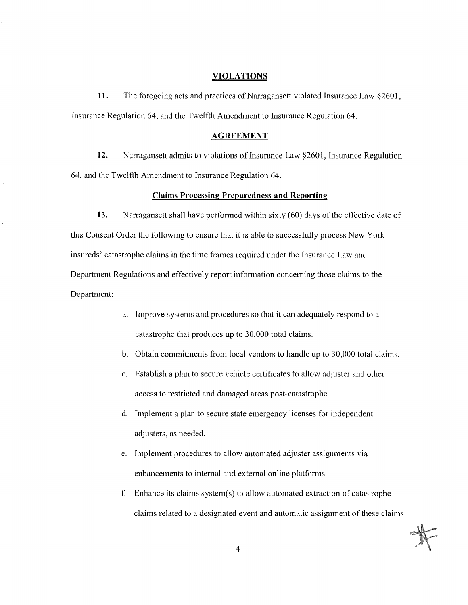#### **VIOLATIONS**

**11.** The foregoing acts and practices of Narragansett violated Insurance Law §2601, Insurance Regulation 64, and the Twelfth Amendment to Insurance Regulation 64.

#### **AGREEMENT**

**12.** Narragansett admits to violations of Insurance Law §2601, Insurance Regulation 64, and the Twelfth Amendment to Insurance Regulation 64.

### **Claims Processing Preparedness and Reporting**

**13.** Narragansett shall have performed within sixty (60) days of the effective date of this Consent Order the following to ensure that it is able to successfully process New York insureds' catastrophe claims in the time frames required under the Insurance Law and Department Regulations and effectively report information concerning those claims to the Department:

- a. Improve systems and procedures so that it can adequately respond to a catastrophe that produces up to 30,000 total claims.
- b. Obtain commitments from local vendors to handle up to 30,000 total claims.
- c. Establish a plan to secure vehicle certificates to allow adjuster and other access to restricted and damaged areas post-catastrophe.
- d. Implement a plan to secure state emergency licenses for independent adjusters, as needed.
- e. Implement procedures to allow automated adjuster assignments via enhancements to internal and external online platforms.
- f. Enhance its claims system(s) to allow automated extraction of catastrophe claims related to a designated event and automatic assignment of these claims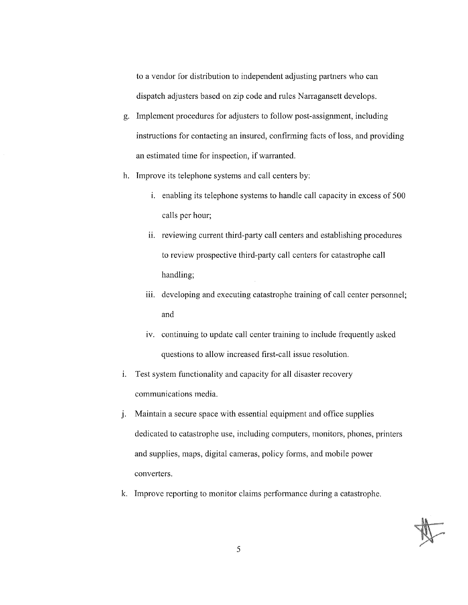to a vendor for distribution to independent adjusting partners who can dispatch adjusters based on zip code and mles Narragansett develops.

- g. Implement procedures for adjusters to follow post-assignment, including instructions for contacting an insured, confirming facts of loss, and providing an estimated time for inspection, if warranted.
- h. Improve its telephone systems and call centers by:
	- $1.$  enabling its telephone systems to handle call capacity in excess of 500 calls per hour;
	- ii. reviewing current third-party call centers and establishing procedures to review prospective third-party call centers for catastrophe call handling;
	- iii. developing and executing catastrophe training of call center personnel; and
	- iv. continuing to update call center training to include frequently asked questions to allow increased first-call issue resolution.
- i. Test system functionality and capacity for all disaster recovery communications media.
- j. Maintain a secure space with essential equipment and office supplies dedicated to catastrophe use, including computers, monitors, phones, printers and supplies, maps, digital cameras, policy forms, and mobile power converters.
- k. Improve reporting to monitor claims performance during a catastrophe.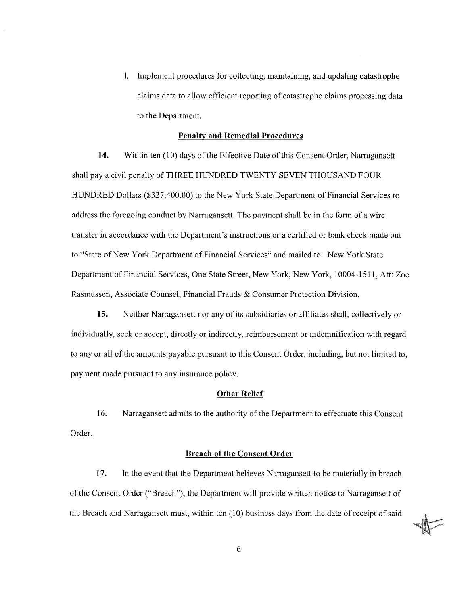1. Implement procedures for collecting, maintaining, and updating catastrophe claims data to allow efficient reporting of catastrophe claims processing data to the Department.

#### **Penalty and Remedial Procedures**

**14.** Within ten (10) days of the Effective Date of this Consent Order, Narragansett shall pay a civil penalty of THREE HUNDRED TWENTY SEVEN THOUSAND FOUR HUNDRED Dollars (\$327,400.00) to the New York State Department of Financial Services to address the foregoing conduct by Narragansett. The payment shall be in the form of a wire transfer in accordance with the Department's instructions or a certified or bank check made out to "State of New York Department of Financial Services" and mailed to: New York State Department of Financial Services, One State Street, New York, New York, 10004-1511, Att: Zoe Rasmussen, Associate Counsel, Financial Frauds & Consumer Protection Division.

**15.** Neither Narragansett nor any of its subsidiaries or affiliates shall, collectively or individually, seek or accept, directly or indirectly, reimbursement or indemnification with regard to any or all of the amounts payable pursuant to this Consent Order, including, but not limited to, payment made pursuant to any insurance policy.

#### **Other Relief**

**16.** Narragansett admits to the authority of the Department to effectuate this Consent Order.

### **Breach of the Consent Order**

**17.** In the event that the Department believes Narragansett to be materially in breach ofthe Consent Order ("Breach"), the Department will provide written notice to Narragansett of the Breach and Narragansett must, within ten (10) business days from the date of receipt of said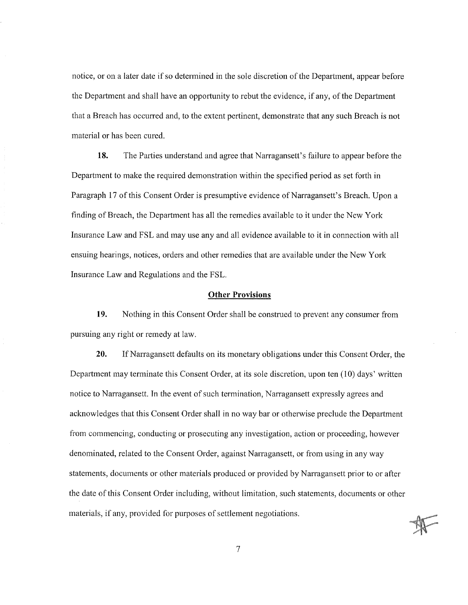notice, or on a later date if so detennined in the sole discretion of the Department, appear before the Department and shall have an opportunity to rebut the evidence, if any, of the Department that a Breach has occurred and, to the extent pertinent, demonstrate that any such Breach is not material or has been cured.

**18.** The Parties understand and agree that Narragansett's failure to appear before the Department to make the required demonstration within the specified period as set forth in Paragraph 17 of this Consent Order is presumptive evidence of Narragansett's Breach. Upon a finding of Breach, the Department has all the remedies available to it under the New York Insurance Law and FSL and may use any and all evidence available to it in connection with all ensuing hearings, notices, orders and other remedies that are available under the New York Insurance Law and Regulations and the FSL.

#### **Other Provisions**

**19.** Nothing in this Consent Order shall be construed to prevent any consumer from pursuing any right or remedy at law.

**20.** If Narragansett defaults on its monetary obligations under this Consent Order, the Department may terminate this Consent Order, at its sole discretion, upon ten (10) days' written notice to Narragansett. In the event of such termination, Narragansett expressly agrees and acknowledges that this Consent Order shall in no way bar or otherwise preclude the Department from commencing, conducting or prosecuting any investigation, action or proceeding, however denominated, related to the Consent Order, against Narragansett, or from using in any way statements, documents or other materials produced or provided by Narragansett prior to or after the date of this Consent Order including, without limitation, such statements, documents or other materials, if any, provided for purposes of settlement negotiations.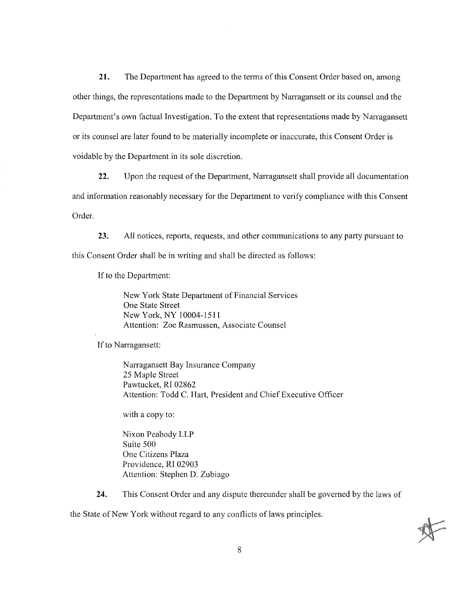**21.** The Department has agreed to the terms of this Consent Order based on, among other things, the representations made to the Department by Narragansett or its counsel and the Department's own factual Investigation. To the extent that representations made by Narragansett or its counsel are later found to be materially incomplete or inaccurate, this Consent Order is voidable by the Department in its sole discretion.

22. Upon the request of the Department, Narragansett shall provide all documentation and information reasonably necessary for the Department to verify compliance with this Consent Order.

23. All notices, reports, requests, and other communications to any party pursuant to this Consent Order shall be in writing and shall be directed as follows:

If to the Department:

New York State Department of Financial Services One State Street New York, NY l 0004-1511 Attention: Zoe Rasmussen, Associate Counsel

If to Narragansett:

Narragansett Bay Insurance Company 25 Maple Street Pawtucket, RI 02862 Attention: Todd C. Hart, President and Chief Executive Officer

with a copy to:

Nixon Peabody LLP Suite 500 One Citizens Plaza Providence, RI 02903 Attention: Stephen D. Zubiago

**24.** This Consent Order and any dispute thereunder shall be governed by the laws of

the State of New York without regard to any conflicts of laws principles.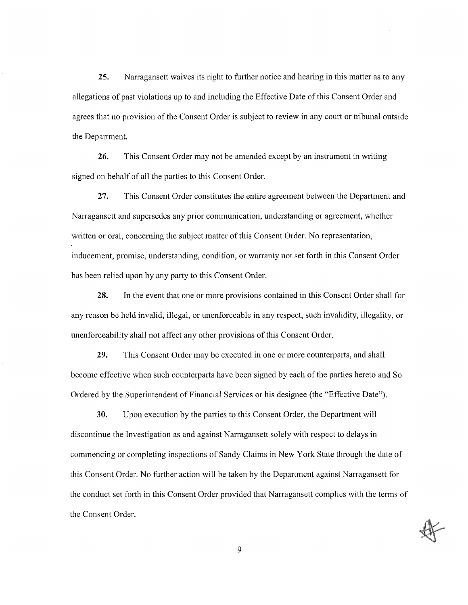**25.** Narragansett waives its right to further notice and hearing in this matter as to any allegations of past violations up to and including the Effective Date of this Consent Order and agrees that no provision of the Consent Order is subject to review in any court or tribunal outside the Department.

**26.** This Consent Order may not be amended except by an instrument in writing signed on behalf of all the parties to this Consent Order.

**27.** This Consent Order constitutes the entire agreement between the Department and Narragansett and supersedes any prior communication, understanding or agreement, whether written or oral, concerning the subject matter of this Consent Order. No representation, inducement, promise, understanding, condition, or warranty not set forth in this Consent Order has been relied upon by any party to this Consent Order.

**28.** In the event that one or more provisions contained in this Consent Order shall for any reason be held invalid, illegal, or unenforceable in any respect, such invalidity, illegality, or unenforceability shall not affect any other provisions of this Consent Order.

**29.** This Consent Order may be executed in one or more counterparts, and shall become effective when such counterparts have been signed by each of the parties hereto and So Ordered by the Superintendent of Financial Services or his designee (the "Effective Date").

**30.** Upon execution by the parties to this Consent Order, the Department will discontinue the Investigation as and against Narragansett solely with respect to delays in commencing or completing inspections of Sandy Claims in New York State through the date of this Consent Order. No further action will be taken by the Department against Narragansett for the conduct set forth in this Consent Order provided that Narragansett complies with the terms of the Consent Order.